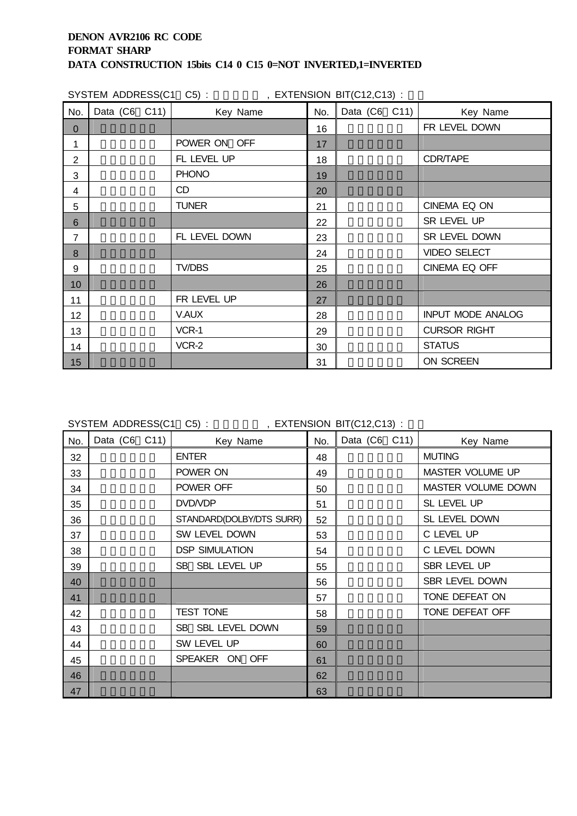|          |                       | SYSTEM ADDRESS(C1 C5): FXTENSION BIT(C12,C13): |     |               |                          |  |  |  |  |
|----------|-----------------------|------------------------------------------------|-----|---------------|--------------------------|--|--|--|--|
| No.      | Data $(C6 \quad C11)$ | Key Name                                       | No. | Data (C6 C11) | Key Name                 |  |  |  |  |
| $\Omega$ |                       |                                                | 16  |               | FR LEVEL DOWN            |  |  |  |  |
| 1        |                       | POWER ON OFF                                   | 17  |               |                          |  |  |  |  |
| 2        |                       | FL LEVEL UP                                    | 18  |               | CDR/TAPE                 |  |  |  |  |
| 3        |                       | <b>PHONO</b>                                   | 19  |               |                          |  |  |  |  |
| 4        |                       | <b>CD</b>                                      | 20  |               |                          |  |  |  |  |
| 5        |                       | <b>TUNER</b>                                   | 21  |               | CINEMA EQ ON             |  |  |  |  |
| 6        |                       |                                                | 22  |               | SR LEVEL UP              |  |  |  |  |
| 7        |                       | FL LEVEL DOWN                                  | 23  |               | SR LEVEL DOWN            |  |  |  |  |
| 8        |                       |                                                | 24  |               | <b>VIDEO SELECT</b>      |  |  |  |  |
| 9        |                       | TV/DBS                                         | 25  |               | CINEMA EQ OFF            |  |  |  |  |
| 10       |                       |                                                | 26  |               |                          |  |  |  |  |
| 11       |                       | FR LEVEL UP                                    | 27  |               |                          |  |  |  |  |
| 12       |                       | V.AUX                                          | 28  |               | <b>INPUT MODE ANALOG</b> |  |  |  |  |
| 13       |                       | VCR-1                                          | 29  |               | <b>CURSOR RIGHT</b>      |  |  |  |  |
| 14       |                       | VCR-2                                          | 30  |               | <b>STATUS</b>            |  |  |  |  |
| 15       |                       |                                                | 31  |               | ON SCREEN                |  |  |  |  |

SYSTEM ADDRESS(C1 C5) : 01000 , EXTENSION BIT(C12,C13) :

| No. | Data (C6 C11) | Key Name                 | No. | Data (C6 C11) | Key Name                |
|-----|---------------|--------------------------|-----|---------------|-------------------------|
| 32  |               | <b>ENTER</b>             | 48  |               | <b>MUTING</b>           |
| 33  |               | POWER ON                 | 49  |               | <b>MASTER VOLUME UP</b> |
| 34  |               | POWER OFF                | 50  |               | MASTER VOLUME DOWN      |
| 35  |               | DVD/VDP                  | 51  |               | SL LEVEL UP             |
| 36  |               | STANDARD(DOLBY/DTS SURR) | 52  |               | SL LEVEL DOWN           |
| 37  |               | SW LEVEL DOWN            | 53  |               | C LEVEL UP              |
| 38  |               | <b>DSP SIMULATION</b>    | 54  |               | C LEVEL DOWN            |
| 39  |               | SB SBL LEVEL UP          | 55  |               | SBR LEVEL UP            |
| 40  |               |                          | 56  |               | SBR LEVEL DOWN          |
| 41  |               |                          | 57  |               | TONE DEFEAT ON          |
| 42  |               | <b>TEST TONE</b>         | 58  |               | TONE DEFEAT OFF         |
| 43  |               | SB SBL LEVEL DOWN        | 59  |               |                         |
| 44  |               | SW LEVEL UP              | 60  |               |                         |
| 45  |               | SPEAKER ON OFF           | 61  |               |                         |
| 46  |               |                          | 62  |               |                         |
| 47  |               |                          | 63  |               |                         |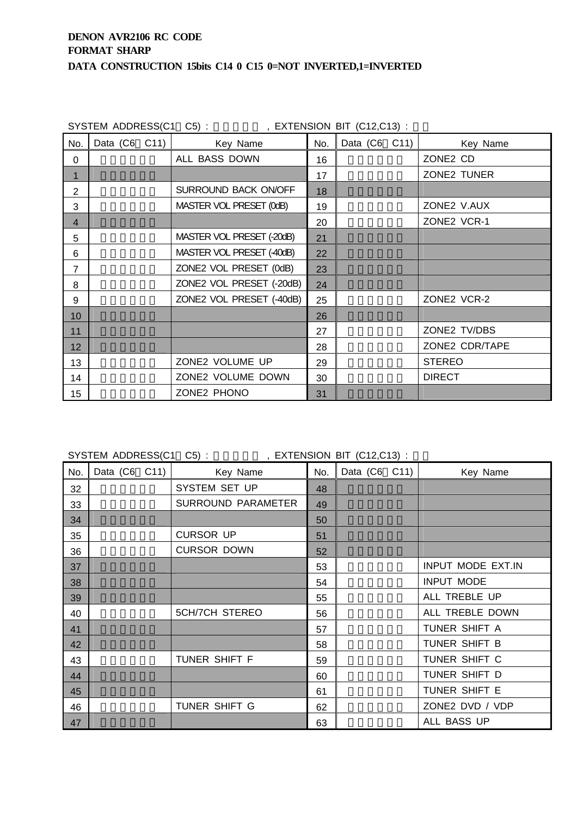|                | SYSTEM ADDRESS(C1 C5): |                           |     | , EXTENSION BIT $(C12,C13)$ : |                |
|----------------|------------------------|---------------------------|-----|-------------------------------|----------------|
| No.            | Data (C6 C11)          | Key Name                  | No. | Data (C6 C11)                 | Key Name       |
| 0              |                        | ALL BASS DOWN             | 16  |                               | ZONE2 CD       |
| 1              |                        |                           | 17  |                               | ZONE2 TUNER    |
| $\overline{2}$ |                        | SURROUND BACK ON/OFF      | 18  |                               |                |
| 3              |                        | MASTER VOL PRESET (0dB)   | 19  |                               | ZONE2 V.AUX    |
| $\overline{4}$ |                        |                           | 20  |                               | ZONE2 VCR-1    |
| 5              |                        | MASTER VOL PRESET (-20dB) | 21  |                               |                |
| 6              |                        | MASTER VOL PRESET (-40dB) | 22  |                               |                |
| 7              |                        | ZONE2 VOL PRESET (0dB)    | 23  |                               |                |
| 8              |                        | ZONE2 VOL PRESET (-20dB)  | 24  |                               |                |
| 9              |                        | ZONE2 VOL PRESET (-40dB)  | 25  |                               | ZONE2 VCR-2    |
| 10             |                        |                           | 26  |                               |                |
| 11             |                        |                           | 27  |                               | ZONE2 TV/DBS   |
| 12             |                        |                           | 28  |                               | ZONE2 CDR/TAPE |
| 13             |                        | ZONE2 VOLUME UP           | 29  |                               | <b>STEREO</b>  |
| 14             |                        | ZONE2 VOLUME DOWN         | 30  |                               | <b>DIRECT</b>  |
| 15             |                        | ZONE2 PHONO               | 31  |                               |                |

SYSTEM ADDRESS(C1 C5) : , EXTENSION BIT (C12,C13) :

SYSTEM ADDRESS(C1 C5) : 00110 , EXTENSION BIT (C12,C13) :

| No. | Data $(C6 \quad C11)$ | Key Name              | No. | Data (C6 C11) | Key Name          |
|-----|-----------------------|-----------------------|-----|---------------|-------------------|
| 32  |                       | SYSTEM SET UP         | 48  |               |                   |
| 33  |                       | SURROUND PARAMETER    | 49  |               |                   |
| 34  |                       |                       | 50  |               |                   |
| 35  |                       | <b>CURSOR UP</b>      | 51  |               |                   |
| 36  |                       | <b>CURSOR DOWN</b>    | 52  |               |                   |
| 37  |                       |                       | 53  |               | INPUT MODE EXT.IN |
| 38  |                       |                       | 54  |               | <b>INPUT MODE</b> |
| 39  |                       |                       | 55  |               | ALL TREBLE UP     |
| 40  |                       | <b>5CH/7CH STEREO</b> | 56  |               | ALL TREBLE DOWN   |
| 41  |                       |                       | 57  |               | TUNER SHIFT A     |
| 42  |                       |                       | 58  |               | TUNER SHIFT B     |
| 43  |                       | TUNER SHIFT F         | 59  |               | TUNER SHIFT C     |
| 44  |                       |                       | 60  |               | TUNER SHIFT D     |
| 45  |                       |                       | 61  |               | TUNER SHIFT E     |
| 46  |                       | TUNER SHIFT G         | 62  |               | ZONE2 DVD / VDP   |
| 47  |                       |                       | 63  |               | ALL BASS UP       |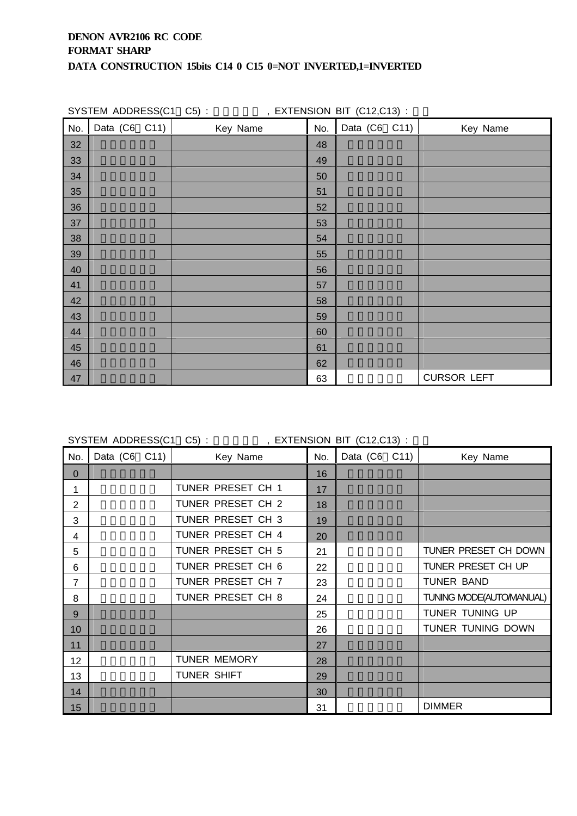|     | SYSTEM ADDRESS(C1 C5): | , EXTENSION BIT (C12,C13) : |     |               |                    |
|-----|------------------------|-----------------------------|-----|---------------|--------------------|
| No. | Data (C6 C11)          | Key Name                    | No. | Data (C6 C11) | Key Name           |
| 32  |                        |                             | 48  |               |                    |
| 33  |                        |                             | 49  |               |                    |
| 34  |                        |                             | 50  |               |                    |
| 35  |                        |                             | 51  |               |                    |
| 36  |                        |                             | 52  |               |                    |
| 37  |                        |                             | 53  |               |                    |
| 38  |                        |                             | 54  |               |                    |
| 39  |                        |                             | 55  |               |                    |
| 40  |                        |                             | 56  |               |                    |
| 41  |                        |                             | 57  |               |                    |
| 42  |                        |                             | 58  |               |                    |
| 43  |                        |                             | 59  |               |                    |
| 44  |                        |                             | 60  |               |                    |
| 45  |                        |                             | 61  |               |                    |
| 46  |                        |                             | 62  |               |                    |
| 47  |                        |                             | 63  |               | <b>CURSOR LEFT</b> |

SYSTEM ADDRESS(C1 C5) :  $\overline{X}$ , EXTENSION BIT (C12,C13) :

| No.            | Data (C6 C11) | Key Name            | No. | Data (C6 C11) | Key Name                |
|----------------|---------------|---------------------|-----|---------------|-------------------------|
| $\mathbf{0}$   |               |                     | 16  |               |                         |
| 1              |               | TUNER PRESET CH 1   | 17  |               |                         |
| $\overline{2}$ |               | TUNER PRESET CH 2   | 18  |               |                         |
| 3              |               | TUNER PRESET CH 3   | 19  |               |                         |
| 4              |               | TUNER PRESET CH 4   | 20  |               |                         |
| 5              |               | TUNER PRESET CH 5   | 21  |               | TUNER PRESET CH DOWN    |
| 6              |               | TUNER PRESET CH 6   | 22  |               | TUNER PRESET CH UP      |
| 7              |               | TUNER PRESET CH 7   | 23  |               | <b>TUNER BAND</b>       |
| 8              |               | TUNER PRESET CH 8   | 24  |               | TUNING MODE(AUTOMANUAL) |
| 9              |               |                     | 25  |               | TUNER TUNING UP         |
| 10             |               |                     | 26  |               | TUNER TUNING DOWN       |
| 11             |               |                     | 27  |               |                         |
| 12             |               | <b>TUNER MEMORY</b> | 28  |               |                         |
| 13             |               | TUNER SHIFT         | 29  |               |                         |
| 14             |               |                     | 30  |               |                         |
| 15             |               |                     | 31  |               | <b>DIMMER</b>           |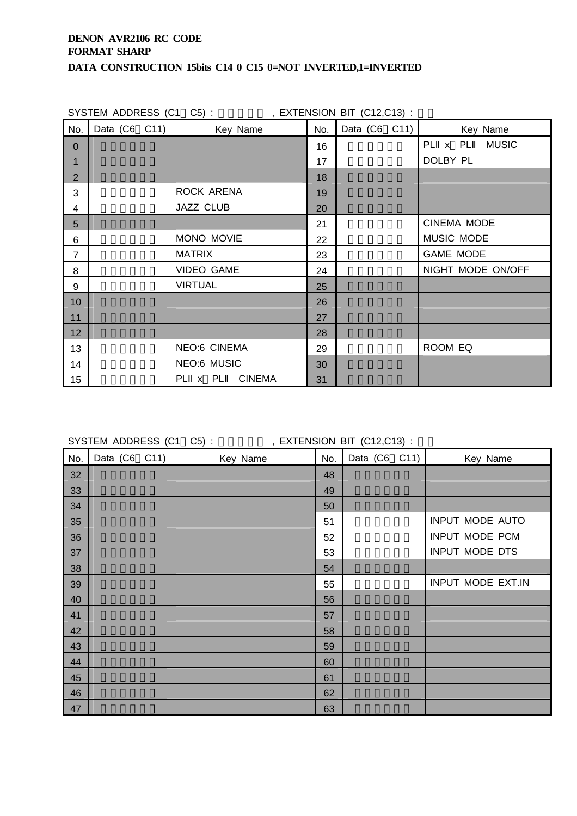|                |               | SYSTEM ADDRESS (C1 C5): FXTENSION BIT (C12,C13): |     |               |                    |
|----------------|---------------|--------------------------------------------------|-----|---------------|--------------------|
| No.            | Data (C6 C11) | Key Name                                         | No. | Data (C6 C11) | Key Name           |
| $\mathbf{0}$   |               |                                                  | 16  |               | PL x PL MUSIC      |
| $\mathbf 1$    |               |                                                  | 17  |               | DOLBY PL           |
| $\overline{2}$ |               |                                                  | 18  |               |                    |
| 3              |               | ROCK ARENA                                       | 19  |               |                    |
| 4              |               | <b>JAZZ CLUB</b>                                 | 20  |               |                    |
| 5              |               |                                                  | 21  |               | <b>CINEMA MODE</b> |
| 6              |               | MONO MOVIE                                       | 22  |               | MUSIC MODE         |
| $\overline{7}$ |               | <b>MATRIX</b>                                    | 23  |               | <b>GAME MODE</b>   |
| 8              |               | <b>VIDEO GAME</b>                                | 24  |               | NIGHT MODE ON/OFF  |
| 9              |               | <b>VIRTUAL</b>                                   | 25  |               |                    |
| 10             |               |                                                  | 26  |               |                    |
| 11             |               |                                                  | 27  |               |                    |
| 12             |               |                                                  | 28  |               |                    |
| 13             |               | <b>NEO:6 CINEMA</b>                              | 29  |               | ROOM EQ            |
| 14             |               | <b>NEO:6 MUSIC</b>                               | 30  |               |                    |
| 15             |               | PL x PL CINEMA                                   | 31  |               |                    |

SYSTEM ADDRESS (C1 C5) : 00100 , EXTENSION BIT (C12,C13) :

| No. | Data (C6 C11) | Key Name | No. | Data (C6 C11) | Key Name          |
|-----|---------------|----------|-----|---------------|-------------------|
| 32  |               |          | 48  |               |                   |
| 33  |               |          | 49  |               |                   |
| 34  |               |          | 50  |               |                   |
| 35  |               |          | 51  |               | INPUT MODE AUTO   |
| 36  |               |          | 52  |               | INPUT MODE PCM    |
| 37  |               |          | 53  |               | INPUT MODE DTS    |
| 38  |               |          | 54  |               |                   |
| 39  |               |          | 55  |               | INPUT MODE EXT.IN |
| 40  |               |          | 56  |               |                   |
| 41  |               |          | 57  |               |                   |
| 42  |               |          | 58  |               |                   |
| 43  |               |          | 59  |               |                   |
| 44  |               |          | 60  |               |                   |
| 45  |               |          | 61  |               |                   |
| 46  |               |          | 62  |               |                   |
| 47  |               |          | 63  |               |                   |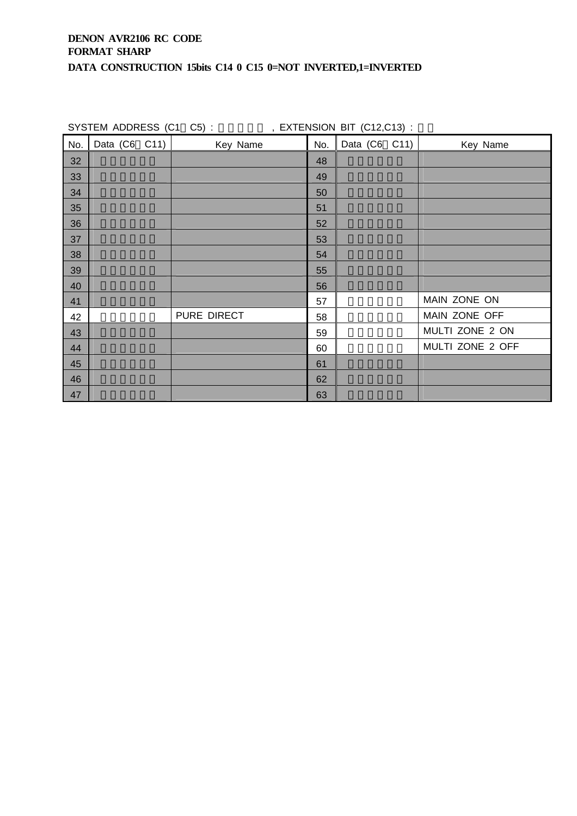|     |                       | SYSTEM ADDRESS (C1 C5): FXTENSION BIT (C12,C13): |     |                       |                  |
|-----|-----------------------|--------------------------------------------------|-----|-----------------------|------------------|
| No. | Data $(C6 \quad C11)$ | Key Name                                         | No. | Data $(C6 \quad C11)$ | Key Name         |
| 32  |                       |                                                  | 48  |                       |                  |
| 33  |                       |                                                  | 49  |                       |                  |
| 34  |                       |                                                  | 50  |                       |                  |
| 35  |                       |                                                  | 51  |                       |                  |
| 36  |                       |                                                  | 52  |                       |                  |
| 37  |                       |                                                  | 53  |                       |                  |
| 38  |                       |                                                  | 54  |                       |                  |
| 39  |                       |                                                  | 55  |                       |                  |
| 40  |                       |                                                  | 56  |                       |                  |
| 41  |                       |                                                  | 57  |                       | MAIN ZONE ON     |
| 42  |                       | PURE DIRECT                                      | 58  |                       | MAIN ZONE OFF    |
| 43  |                       |                                                  | 59  |                       | MULTI ZONE 2 ON  |
| 44  |                       |                                                  | 60  |                       | MULTI ZONE 2 OFF |
| 45  |                       |                                                  | 61  |                       |                  |
| 46  |                       |                                                  | 62  |                       |                  |
| 47  |                       |                                                  | 63  |                       |                  |